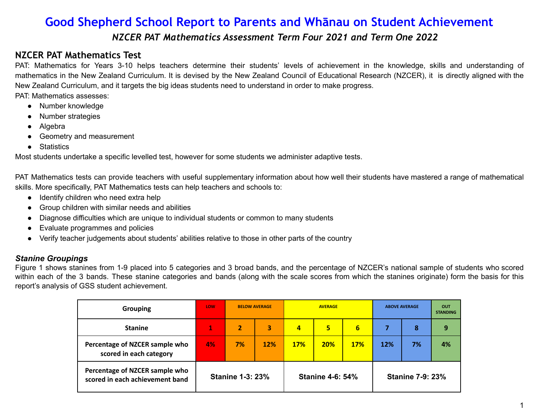## **Good Shepherd School Report to Parents and Whānau on Student Achievement** *NZCER PAT Mathematics Assessment Term Four 2021 and Term One 2022*

## **NZCER PAT Mathematics Test**

PAT: Mathematics for Years 3-10 helps teachers determine their students' levels of achievement in the knowledge, skills and understanding of mathematics in the New Zealand Curriculum. It is devised by the New Zealand Council of Educational Research (NZCER), it is directly aligned with the New Zealand Curriculum, and it targets the big ideas students need to understand in order to make progress.

PAT: Mathematics assesses:

- Number knowledge
- Number strategies
- Algebra
- Geometry and measurement
- Statistics

Most students undertake a specific levelled test, however for some students we administer adaptive tests.

PAT Mathematics tests can provide teachers with useful supplementary information about how well their students have mastered a range of mathematical skills. More specifically, PAT Mathematics tests can help teachers and schools to:

- Identify children who need extra help
- Group children with similar needs and abilities
- Diagnose difficulties which are unique to individual students or common to many students
- Evaluate programmes and policies
- Verify teacher judgements about students' abilities relative to those in other parts of the country

### *Stanine Groupings*

Figure 1 shows stanines from 1-9 placed into 5 categories and 3 broad bands, and the percentage of NZCER's national sample of students who scored within each of the 3 bands. These stanine categories and bands (along with the scale scores from which the stanines originate) form the basis for this report's analysis of GSS student achievement.

| <b>Grouping</b>                                                   | <b>LOW</b>              | <b>BELOW AVERAGE</b> |            | <b>AVERAGE</b>          |            |            | <b>ABOVE AVERAGE</b>    |    | <b>OUT</b><br><b>STANDING</b> |
|-------------------------------------------------------------------|-------------------------|----------------------|------------|-------------------------|------------|------------|-------------------------|----|-------------------------------|
| <b>Stanine</b>                                                    | 1                       | 2                    | 3          | 4                       | 5          | 6          |                         | 8  | 9                             |
| Percentage of NZCER sample who<br>scored in each category         | 4%                      | 7%                   | <b>12%</b> | <b>17%</b>              | <b>20%</b> | <b>17%</b> | <b>12%</b>              | 7% | 4%                            |
| Percentage of NZCER sample who<br>scored in each achievement band | <b>Stanine 1-3: 23%</b> |                      |            | <b>Stanine 4-6: 54%</b> |            |            | <b>Stanine 7-9: 23%</b> |    |                               |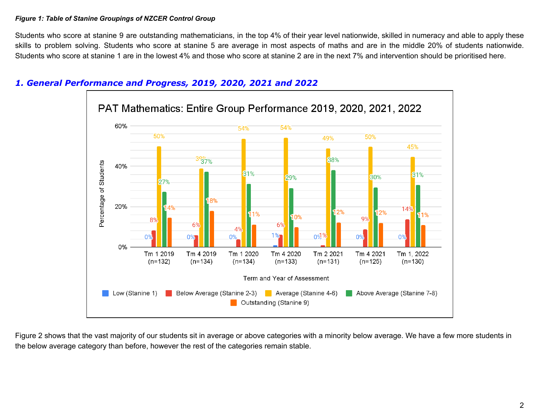#### *Figure 1: Table of Stanine Groupings of NZCER Control Group*

Students who score at stanine 9 are outstanding mathematicians, in the top 4% of their year level nationwide, skilled in numeracy and able to apply these skills to problem solving. Students who score at stanine 5 are average in most aspects of maths and are in the middle 20% of students nationwide. Students who score at stanine 1 are in the lowest 4% and those who score at stanine 2 are in the next 7% and intervention should be prioritised here.



## *1. General Performance and Progress, 2019, 2020, 2021 and 2022*

Figure 2 shows that the vast majority of our students sit in average or above categories with a minority below average. We have a few more students in the below average category than before, however the rest of the categories remain stable.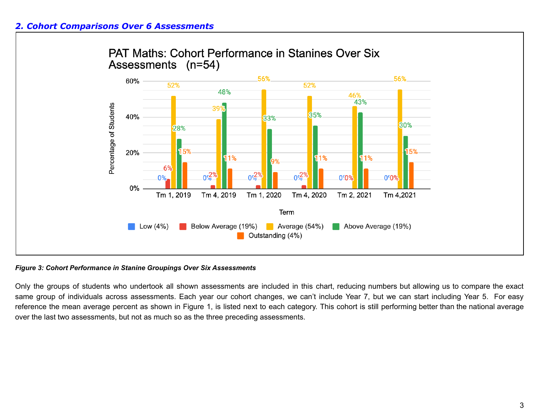

#### *Figure 3: Cohort Performance in Stanine Groupings Over Six Assessments*

Only the groups of students who undertook all shown assessments are included in this chart, reducing numbers but allowing us to compare the exact same group of individuals across assessments. Each year our cohort changes, we can't include Year 7, but we can start including Year 5. For easy reference the mean average percent as shown in Figure 1, is listed next to each category. This cohort is still performing better than the national average over the last two assessments, but not as much so as the three preceding assessments.